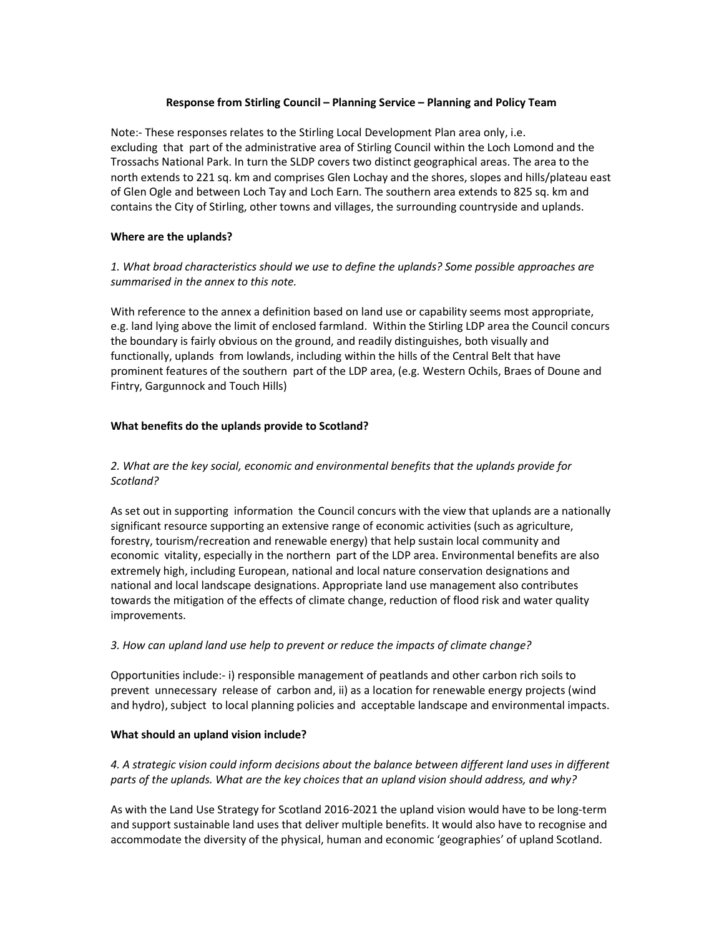#### **Response from Stirling Council – Planning Service – Planning and Policy Team**

Note:- These responses relates to the Stirling Local Development Plan area only, i.e. excluding that part of the administrative area of Stirling Council within the Loch Lomond and the Trossachs National Park. In turn the SLDP covers two distinct geographical areas. The area to the north extends to 221 sq. km and comprises Glen Lochay and the shores, slopes and hills/plateau east of Glen Ogle and between Loch Tay and Loch Earn. The southern area extends to 825 sq. km and contains the City of Stirling, other towns and villages, the surrounding countryside and uplands.

### **Where are the uplands?**

# *1. What broad characteristics should we use to define the uplands? Some possible approaches are summarised in the annex to this note.*

With reference to the annex a definition based on land use or capability seems most appropriate, e.g. land lying above the limit of enclosed farmland. Within the Stirling LDP area the Council concurs the boundary is fairly obvious on the ground, and readily distinguishes, both visually and functionally, uplands from lowlands, including within the hills of the Central Belt that have prominent features of the southern part of the LDP area, (e.g. Western Ochils, Braes of Doune and Fintry, Gargunnock and Touch Hills)

### **What benefits do the uplands provide to Scotland?**

# *2. What are the key social, economic and environmental benefits that the uplands provide for Scotland?*

As set out in supporting information the Council concurs with the view that uplands are a nationally significant resource supporting an extensive range of economic activities (such as agriculture, forestry, tourism/recreation and renewable energy) that help sustain local community and economic vitality, especially in the northern part of the LDP area. Environmental benefits are also extremely high, including European, national and local nature conservation designations and national and local landscape designations. Appropriate land use management also contributes towards the mitigation of the effects of climate change, reduction of flood risk and water quality improvements.

### *3. How can upland land use help to prevent or reduce the impacts of climate change?*

Opportunities include:- i) responsible management of peatlands and other carbon rich soils to prevent unnecessary release of carbon and, ii) as a location for renewable energy projects (wind and hydro), subject to local planning policies and acceptable landscape and environmental impacts.

# **What should an upland vision include?**

# *4. A strategic vision could inform decisions about the balance between different land uses in different parts of the uplands. What are the key choices that an upland vision should address, and why?*

As with the Land Use Strategy for Scotland 2016-2021 the upland vision would have to be long-term and support sustainable land uses that deliver multiple benefits. It would also have to recognise and accommodate the diversity of the physical, human and economic 'geographies' of upland Scotland.